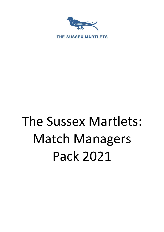

# The Sussex Martlets: Match Managers Pack 2021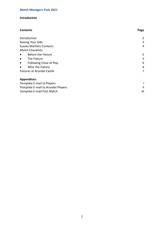# **Introduction**

| <b>Contents</b>                      | Page |
|--------------------------------------|------|
| Introduction                         | 2    |
| <b>Raising Your Side</b>             | 3    |
| <b>Sussex Martlets Contacts</b>      | 4    |
| <b>Match Checklists:</b>             |      |
| Before the Fixture<br>$\bullet$      | 5    |
| The Fixture<br>$\bullet$             | 5    |
| Following Close of Play<br>$\bullet$ | 6    |
| After the Fixture<br>$\bullet$       | 6    |
| <b>Fixtures at Arundel Castle</b>    | 7    |
| <b>Appendices:</b>                   |      |
| Template E-mail to Players           |      |
| Template E-mail to Arundel Players   | Ш    |
| Template E-mail Post Match           | Ш    |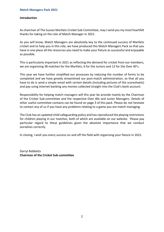# **Introduction**

As chairman of The Sussex Martlets Cricket Sub-Committee, may I send you my most heartfelt thanks for taking on the role of Match Manager in 2021.

As you will know, Match Managers are absolutely key to the continued success of Martlets cricket and to help you in this role, we have produced this Match Managers Pack so that you have in one place all the resources you need to make your fixture as successful and enjoyable as possible.

This is particularly important in 2021 as reflecting the demand for cricket from our members, we are organising 38 matches for the Martlets, 6 for the Juniors and 12 for the Over 40's.

This year we have further simplified our processes by reducing the number of forms to be completed and we have greatly streamlined our post-match administration, so that all you have to do is send a simple email with certain details (including pictures of the scoresheets) and pay using internet banking any monies collected straight into the Club's bank account.

Responsibility for helping match managers will this year be provide mainly by the Chairman of the Cricket Sub-committee and the respective Over 40s and Junior Managers. Details of other useful committee contacts can be found on page 3 of this pack. Please do not hesitate to contact any of us if you have any problems relating to a game you are match managing.

The Club has an updated child safeguarding policy and has reproduced the playing restrictions for children playing in our matches, both of which are available on our website. Please pay particular regard to these guidelines given the absolute importance that we conduct ourselves correctly.

In closing, I wish you every success on and off the field with organising your fixture in 2021.

Darryl Rebbetts **Chairman of the Cricket Sub-committee**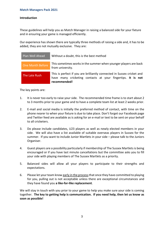# **Introduction**

These guidelines will help you as Match Manager in raising a balanced side for your fixture and in ensuring your game is managed efficiently.

Our experience has shown there are typically three methods of raising a side and, it has to be added, they are not mutually exclusive. They are:

| Plan Well Ahead  | Without a doubt, this is the best method                                                                                                              |
|------------------|-------------------------------------------------------------------------------------------------------------------------------------------------------|
| One Month Before | This sometimes works in the summer when younger players are back<br>from university.                                                                  |
| The Late Rush    | This is perfect if you are brilliantly connected in Sussex cricket and<br>have many cricketing contacts at your fingertips. It is not<br>recommended! |

The key points are:

- 1. It is never too early to raise your side. The recommended time frame is to start about 2 to 3 months prior to your game and to have a complete team list at least 2 weeks prior.
- 2. E-mail and social media is initially the preferred method of contact, with time on the phone nearer to when your fixture is due to take place. Don't forget our Facebook page and Twitter feed are available as is asking for an e-mail or text to be sent on your behalf to all cricketers.
- 3. Do please include candidates, U23 players as well as newly elected members in your side. We will also have a list available of suitable overseas players in Sussex for the summer. If you want to include Junior Martlets in your side – please talk to the Juniors Organiser.
- 4. Guest players are a possibility particularly if membership of The Sussex Martlets is being encouraged or if you have last minute cancellations but the committee asks you to fill your side with playing members of The Sussex Martlets as a priority.
- 5. Balanced sides will allow all your players to participate to their strengths and expectations.
- 6. Please let your team know early in the process that once they have committed to playing for you, pulling out is not acceptable unless there are exceptional circumstances and they have found you **a like-for-like replacement**.

We will stay in touch with you prior to your game to help you make sure your side is coming together. **The key to getting help is communication. If you need help, then let us know as soon as possible!**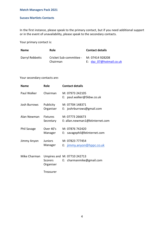# **Match Managers Pack 2021**

#### **Sussex Martlets Contacts**

In the first instance, please speak to the primary contact, but if you need additional support or in the event of unavailability, please speak to the secondary contacts.

Your primary contact is:

| <b>Name</b>     | <b>Role</b>             | <b>Contact details</b>  |
|-----------------|-------------------------|-------------------------|
| Darryl Rebbetts | Cricket Sub-committee - | M: 07414 928208         |
|                 | Chairman                | E: daz 07@hotmail.co.uk |

Your secondary contacts are:

| <b>Name</b>  | Role                         | <b>Contact details</b>                                  |
|--------------|------------------------------|---------------------------------------------------------|
| Paul Walker  | Chairman                     | M: 07973 242105<br>E: paul.walker@5kbw.co.uk            |
| Josh Burrows | Publicity<br>Organiser       | M: 07704 148371<br>E: joshrburrows@gmail.com            |
| Alan Newman  | <b>Fixtures</b><br>Secretary | M: 07773 266673<br>E: allan.newman1@btinternet.com      |
| Phil Savage  | Over 40's<br>Manager         | M: 07876 742420<br>E: savagephil@btinternet.com         |
| Jimmy Anyon  | <b>Juniors</b><br>Manager    | M: 07823 777454<br>E: jimmy.anyon@hppc.co.uk            |
| Mike Charman | Scorers<br>Organiser         | Umpires and M: 07710 242713<br>E: charmanmike@gmail.com |
|              | Treasurer                    |                                                         |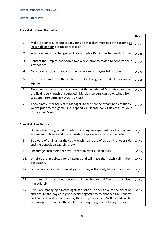# **Match Checklists**

# **Checklist: Before The Fixture**

|    |                                                                                                                                                                                               | Tick:                   |
|----|-----------------------------------------------------------------------------------------------------------------------------------------------------------------------------------------------|-------------------------|
| 1. | Make it clear to all members of your side that they must be at the ground at<br>least half an hour before start of play.                                                                      | $\checkmark$ / $\times$ |
| 2. | Your team must be changed and ready to play 15 minutes before start time.                                                                                                                     | $\checkmark$ / $\times$ |
| 3. | Contact the Umpire and Scorer two weeks prior to match to confirm their<br>attendance.                                                                                                        | $\checkmark$ / $\times$ |
| 4. | Get spare cash/coins ready for the game $-$ most players bring notes.                                                                                                                         | $\checkmark$ / $\times$ |
| 5. | Let your team know the match fees for the game $-$ full details are in<br>Appendix I.                                                                                                         | $\checkmark$ / $\times$ |
| 6. | Please ensure your team is aware that the wearing of Martlets colours on<br>the field is very much encouraged. Martlets colours can be obtained from<br>Wisdom InterSports in Haywards Heath. | $\checkmark$ / $\times$ |
| 7. | A template e-mail for Match Managers to send to their team not less than 2<br>weeks prior to the game is in Appendix I. Please copy this email to your<br>Umpire and Scorer.                  | $\checkmark$ / $\times$ |

# **Checklist: The Fixture**

| 8.  | On arrival at the ground. Confirm catering arrangements for the day and<br>ensure your players and the opposition captain are aware of the details.                                                                                                                                                                | $\checkmark$ / $\times$ |
|-----|--------------------------------------------------------------------------------------------------------------------------------------------------------------------------------------------------------------------------------------------------------------------------------------------------------------------|-------------------------|
| 9.  | Be aware of timings for the day – lunch, tea, close of play and let your side<br>and the opposition captain know.                                                                                                                                                                                                  | $\checkmark$ / $\times$ |
| 10. | Encourage each member of your team to wear Club colours.                                                                                                                                                                                                                                                           | $\checkmark$ / $\times$ |
| 11. | Umpires are appointed for all games and will have the match ball in their<br>possession.                                                                                                                                                                                                                           | $\checkmark$ / $\times$ |
| 12. | Scorers are appointed for most games – they will already have a score sheet<br>for you.                                                                                                                                                                                                                            | $\checkmark$ / $\times$ |
| 13. | If the match is cancelled, ensure that the Umpire and Scorer are advised<br>immediately.                                                                                                                                                                                                                           | $\checkmark$ / $\times$ |
| 14. | If you are managing a match against a school, be sensitive to the situation<br>and ensure the boys are given every opportunity to enhance their cricket<br>and enjoy their day. Remember, they are prospective Martlets and will be<br>encouraged to join us if they believe we play the game in the right spirit. | $\checkmark$ / $\times$ |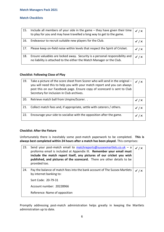# **Match Checklists**

| 15. | Include all members of your side in the game $-$ they have given their time<br>to play for you and may have travelled a long way to get to the game. | $\checkmark$ / $\times$ |
|-----|------------------------------------------------------------------------------------------------------------------------------------------------------|-------------------------|
| 16. | Endeavour to recruit suitable new players for the Club.                                                                                              | $\checkmark$ / $\times$ |
| 17. | Please keep on-field noise within levels that respect the Spirit of Cricket.                                                                         | $\checkmark$ / $\times$ |
| 18. | Ensure valuables are locked away. Security is a personal responsibility and<br>no liability is attached to the either the Match Manager or the Club. | $\checkmark$ / $\times$ |

# **Checklist: Following Close of Play**

| 19. | Take a picture of the score sheet from Scorer who will send in the original -<br>you will need this to help you with your match report and you can always<br>post this on our Facebook page. Ensure copy of scorecard is sent to Club<br>Secretary for inclusion in Club archives. | $\checkmark$ / $\times$ |
|-----|------------------------------------------------------------------------------------------------------------------------------------------------------------------------------------------------------------------------------------------------------------------------------------|-------------------------|
| 20. | Retrieve match ball from Umpire/Scorer                                                                                                                                                                                                                                             |                         |
| 21. | Collect match fees and, if appropriate, settle with caterers / others.                                                                                                                                                                                                             | / ×                     |
| 22. | Encourage your side to socialise with the opposition after the game.                                                                                                                                                                                                               |                         |

# **Checklist: After the Fixture**

Unfortunately there is inevitably some post-match paperwork to be completed. **This is always best completed within 24 hours after a match has been played**. This comprises:

| 23. | Send your post-match email to matchreports@sussexmartlets.co.uk - a<br>proforma email is included at Appendix III. Remember your email must<br>include the match report itself, any pictures of our cricket you wish<br>published, and pictures of the scorecard. There are other details to be<br>provided too. | $\checkmark$ / $\times$ |
|-----|------------------------------------------------------------------------------------------------------------------------------------------------------------------------------------------------------------------------------------------------------------------------------------------------------------------|-------------------------|
| 24. | Pay the balance of match fees into the bank account of The Sussex Martlets<br>by internet banking to:                                                                                                                                                                                                            | / x                     |
|     | Sort Code: 20-79-31                                                                                                                                                                                                                                                                                              |                         |
|     | Account number: 20228966                                                                                                                                                                                                                                                                                         |                         |
|     | Reference: Name of opposition                                                                                                                                                                                                                                                                                    |                         |

Promptly addressing post-match administration helps greatly in keeping the Martlets administration up to date.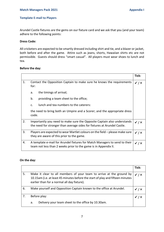# **Template E-mail to Players**

Arundel Castle fixtures are the gems on our fixture card and we ask that you (and your team) adhere to the following points:

# **Dress Code:**

All cricketers are expected to be smartly dressed including shirt and tie, and a blazer or jacket, both before and after the game. Attire such as jeans, shorts, Hawaiian shirts etc are not permissible. Guests should dress "smart casual". All players must wear shoes to lunch and tea.

# **Before the day:**

|    |                                                                                                                                                     | Tick:                   |
|----|-----------------------------------------------------------------------------------------------------------------------------------------------------|-------------------------|
| 1. | Contact the Opposition Captain to make sure he knows the requirements<br>for:                                                                       | $\checkmark$ / $\times$ |
|    | the timings of arrival;<br>a.                                                                                                                       |                         |
|    | b.<br>providing a team sheet to the office;                                                                                                         |                         |
|    | lunch and tea numbers to the caterers:<br>c.                                                                                                        |                         |
|    | the need to bring both an Umpire and a Scorer; and the appropriate dress<br>code.                                                                   |                         |
| 2. | Importantly you need to make sure the Opposite Captain also understands<br>the need for stronger than average sides for fixtures at Arundel Castle. | $\checkmark$ / $\times$ |
| 3. | Players are expected to wear Martlet colours on the field – please make sure<br>they are aware of this prior to the game.                           | $\checkmark$ / $\times$ |
| 4. | A template e-mail for Arundel fixtures for Match Managers to send to their<br>team not less than 2 weeks prior to the game is in Appendix II.       | $\checkmark$ / $\times$ |

#### **On the day:**

|    |                                                                                                                                                                                                       | Tick: |
|----|-------------------------------------------------------------------------------------------------------------------------------------------------------------------------------------------------------|-------|
| 5. | Make it clear to all members of your team to arrive at the ground by<br>10.15am (i.e. at least 45 minutes before the start of play and fifteen minutes<br>earlier than for a normal all day fixture). |       |
| 6. | Make yourself and Opposition Captain known to the office at Arundel.                                                                                                                                  |       |
|    | Before play:                                                                                                                                                                                          |       |
|    | Delivery your team sheet to the office by 10.30am.<br>a.                                                                                                                                              |       |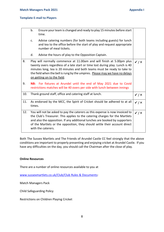#### **Template E-mail to Players**

|     | b.     | Ensure your team is changed and ready to play 15 minutes before start<br>time.                                                                                                                                                                                                                                                                   |                         |
|-----|--------|--------------------------------------------------------------------------------------------------------------------------------------------------------------------------------------------------------------------------------------------------------------------------------------------------------------------------------------------------|-------------------------|
|     | c.     | Advise catering numbers (for both teams including guests) for lunch<br>and tea to the office before the start of play and request appropriate<br>number of meal tickets.                                                                                                                                                                         |                         |
|     | d.     | Advise the hours of play to the Opposition Captain.                                                                                                                                                                                                                                                                                              |                         |
| 8.  |        | Play will normally commence at 11.00am and will finish at 5.00pm plus<br>twenty overs regardless of a late start or time lost during play. Lunch is 40<br>minutes long, tea is 20 minutes and both teams must be ready to take to<br>the field when the bell is rung by the umpires. Please may we have no delays<br>on getting on to the field. | $\checkmark$ / $\times$ |
| 9.  |        | NB: For fixtures at Arundel until the end of May 2021 due to Covid<br>restrictions matches will be 40 overs per side with lunch between innings                                                                                                                                                                                                  |                         |
|     |        |                                                                                                                                                                                                                                                                                                                                                  |                         |
| 10. |        | Thank ground staff, office and catering staff at lunch.                                                                                                                                                                                                                                                                                          | $\checkmark$ / $\times$ |
| 11. | times. | As endorsed by the MCC, the Spirit of Cricket should be adhered to at all                                                                                                                                                                                                                                                                        | $\checkmark$ / $\times$ |

Both The Sussex Martlets and The Friends of Arundel Castle CC feel strongly that the above conditions are important to properly presenting and enjoying cricket at Arundel Castle. If you have any difficulties on the day, you should call the Chairman after the close of play.

# **Online Resources**

There are a number of online resources available to you at

[www.sussexmartlets.co.uk/Club/Club](http://www.sussexmartlets.co.uk/Club/Club) Rules & Documents:

Match Managers Pack

Child Safeguarding Policy

Restrictions on Children Playing Cricket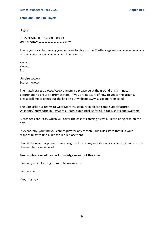#### **Template E-mail to Players**

Hi guys

# **SUSSEX MARTLETS v** XXXXXXXXX **WEDNESDAY xxxxxxxxxxxxxxxxx 2021**

Thank you for volunteering your services to play for the Martlets against xxxxxxxx at xxxxxxxx on xxxxxxxxx, xx xxxxxxxxxxxxxxx. The team is:

Xxxxxx Xxxxxx Etc

Umpire xxxxxx Scorer xxxxxx

The match starts at xxxxx/xxxx am/pm, so please be at the ground thirty minutes beforehand to ensure a prompt start. If you are not sure of how to get to the ground, please call me or check out the link on our website www.sussexmartlets.co.uk.

The Club asks our teams to wear Martlets' colours so please come suitably attired. Wisdoms/InterSports in Haywards Heath is our stockist for Club caps, shirts and sweaters.

Match fees are £xxxx which will cover the cost of catering as well. Please bring cash on the day.

If, eventually, you find you cannot play for any reason, Club rules state that it is your responsibility to find a like for like replacement.

Should the weather prove threatening, I will be on my mobile xxxxx xxxxxx to provide up-tothe-minute travel advice!

#### **Finally, please would you acknowledge receipt of this email.**

I am very much looking forward to seeing you.

Best wishes.

<Your name>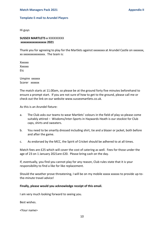#### **Template E-mail to Arundel Players**

Hi guys

**SUSSEX MARTLETS v** XXXXXXXXX **xxxxxxxxxxxxxxxxx 2021**

Thank you for agreeing to play for the Martlets against xxxxxxxx at Arundel Castle on xxxxxxx, xx xxxxxxxxxxxxxxx. The team is:

Xxxxxx **Xxxxxx** Etc

Umpire xxxxxx Scorer xxxxxx

The match starts at 11.00am, so please be at the ground forty five minutes beforehand to ensure a prompt start. If you are not sure of how to get to the ground, please call me or check out the link on our website www.sussexmartlets.co.uk.

As this is an Arundel fixture:

- a. The Club asks our teams to wear Martlets' colours in the field of play so please come suitably attired – Wisdoms/Inter-Sports in Haywards Heath is our stockist for Club caps, shirts and sweaters.
- b. You need to be smartly dressed including shirt, tie and a blazer or jacket, both before and after the game.
- c. As endorsed by the MCC, the Spirit of Cricket should be adhered to at all times.

Match fees are £25 which will cover the cost of catering as well. Fees for those under the age of 23 on 1 January 2021are £20. Please bring cash on the day.

If, eventually, you find you cannot play for any reason, Club rules state that it is your responsibility to find a like for like replacement.

Should the weather prove threatening, I will be on my mobile xxxxx xxxxxx to provide up-tothe-minute travel advice!

#### **Finally, please would you acknowledge receipt of this email.**

I am very much looking forward to seeing you.

Best wishes.

<Your name>